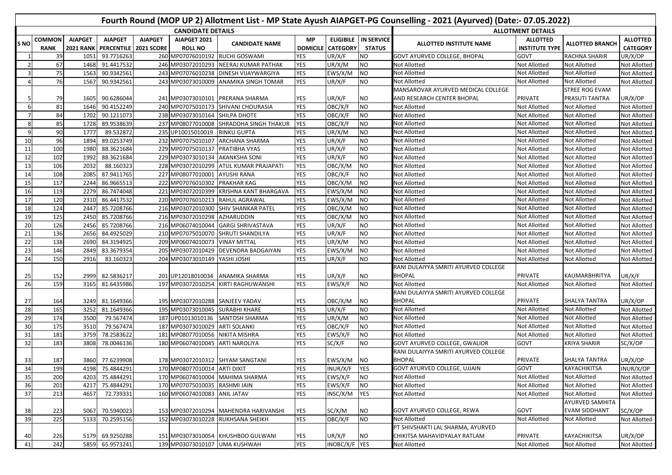|       | Fourth Round (MOP UP 2) Allotment List - MP State Ayush AIAPGET-PG Counselling - 2021 (Ayurved) (Date:- 07.05.2022) |                          |                         |                |                                 |                                         |            |                          |                   |                                      |                       |                        |                     |  |
|-------|---------------------------------------------------------------------------------------------------------------------|--------------------------|-------------------------|----------------|---------------------------------|-----------------------------------------|------------|--------------------------|-------------------|--------------------------------------|-----------------------|------------------------|---------------------|--|
|       |                                                                                                                     | <b>CANDIDATE DETAILS</b> |                         |                |                                 |                                         |            |                          |                   | <b>ALLOTMENT DETAILS</b>             |                       |                        |                     |  |
| ls NO | <b>COMMON</b>                                                                                                       | <b>AIAPGET</b>           | <b>AIAPGET</b>          | <b>AIAPGET</b> | AIAPGET 2021                    | <b>CANDIDATE NAME</b>                   | <b>MP</b>  | <b>ELIGIBILE</b>         | <b>IN SERVICE</b> | ALLOTTED INSTITUTE NAME              | <b>ALLOTTED</b>       | <b>ALLOTTED BRANCH</b> | <b>ALLOTTED</b>     |  |
|       | <b>RANK</b>                                                                                                         | <b>2021 RANK</b>         | PERCENTILE   2021 SCORE |                | <b>ROLL NO</b>                  |                                         |            | <b>DOMICILE CATEGORY</b> | <b>STATUS</b>     |                                      | <b>INSTITUTE TYPE</b> |                        | <b>CATEGORY</b>     |  |
|       | 39                                                                                                                  | 1051                     | 93.7716263              |                | 260 MP07076010192 RUCHI GOSWAMI |                                         | YES        | UR/X/F                   | NO.               | <b>GOVT AYURVED COLLEGE, BHOPAL</b>  | GOVT                  | <b>RACHNA SHARIR</b>   | UR/X/OP             |  |
|       | 67                                                                                                                  | 1468                     | 91.4417532              |                |                                 | 246 MP03072010293 NEERAJ KUMAR PATHAK   | <b>YES</b> | UR/X/M                   | <b>NO</b>         | Not Allotted                         | Not Allotted          | Not Allotted           | Not Allotted        |  |
|       | 75                                                                                                                  | 1563                     | 90.9342561              |                |                                 | 243 MP07076010238 DINESH VIJAYWARGIYA   | <b>YES</b> | EWS/X/M                  | <b>NO</b>         | <b>Not Allotted</b>                  | Not Allotted          | Not Allotted           | Not Allotted        |  |
|       | 76                                                                                                                  | 1567                     | 90.9342561              |                |                                 | 243 MP03073010009 ANAMIKA SINGH TOMAR   | <b>YES</b> | UR/X/F                   | <b>NO</b>         | Not Allotted                         | Not Allotted          | <b>Not Allotted</b>    | Not Allotted        |  |
|       |                                                                                                                     |                          |                         |                |                                 |                                         |            |                          |                   | MANSAROVAR AYURVED MEDICAL COLLEGE   |                       | <b>STREE ROG EVAM</b>  |                     |  |
|       | 79                                                                                                                  | 1605                     | 90.6286044              |                |                                 | 241 MP03073010101 PRERANA SHARMA        | YES        | UR/X/F                   | NO.               | AND RESEARCH CENTER BHOPAL           | PRIVATE               | PRASUTI TANTRA         | UR/X/OP             |  |
| -6    | 81                                                                                                                  | 1646                     | 90.4152249              |                |                                 | 240 MP07075010173 SHIVANI CHOURASIA     | <b>YES</b> | OBC/X/F                  | <b>NO</b>         | Not Allotted                         | Not Allotted          | Not Allotted           | <b>Not Allotted</b> |  |
|       | 84                                                                                                                  | 1702                     | 90.1211073              |                | 238 MP03073010164 SHILPA DHOTE  |                                         | YES        | OBC/X/F                  | <b>NO</b>         | Not Allotted                         | Not Allotted          | Not Allotted           | Not Allotted        |  |
| -8    | 85                                                                                                                  | 1728                     | 89.9538639              |                |                                 | 237 MP08077010008 SHRADDHA SINGH THAKUR | <b>YES</b> | OBC/X/F                  | <b>NO</b>         | Not Allotted                         | Not Allotted          | Not Allotted           | Not Allotted        |  |
| -9    | 90                                                                                                                  | 1777                     | 89.532872               |                | 235 UP10015010019               | <b>RINKU GUPTA</b>                      | <b>YES</b> | UR/X/M                   | <b>NO</b>         | Not Allotted                         | Not Allotted          | Not Allotted           | Not Allotted        |  |
| 10    | 96                                                                                                                  | 1894                     | 89.0253749              |                | 232 MP07075010107               | <b>ARCHANA SHARMA</b>                   | <b>YES</b> | UR/X/F                   | NO                | Not Allotted                         | Not Allotted          | Not Allotted           | Not Allotted        |  |
| 11    | 100                                                                                                                 | 1980                     | 88.3621684              |                | 229 MP07075010137               | PRATIBHA VYAS                           | YES        | UR/X/F                   | <b>NO</b>         | Not Allotted                         | Not Allotted          | Not Allotted           | Not Allotted        |  |
| 12    | 102                                                                                                                 | 1992                     | 88.3621684              |                | 229 MP03073010134               | <b>AKANKSHA SONI</b>                    | YES        | UR/X/F                   | <b>NO</b>         | Not Allotted                         | Not Allotted          | Not Allotted           | Not Allotted        |  |
| 13    | 106                                                                                                                 | 2032                     | 88.160323               |                |                                 | 228 MP03072010299 ATUL KUMAR PRAJAPATI  | <b>YES</b> | OBC/X/M                  | <b>NO</b>         | Not Allotted                         | Not Allotted          | Not Allotted           | <b>Not Allotted</b> |  |
| 14    | 108                                                                                                                 | 2085                     | 87.9411765              |                | 227 MP08077010001 AYUSHI RANA   |                                         | <b>YES</b> | OBC/X/F                  | <b>NO</b>         | Not Allotted                         | Not Allotted          | Not Allotted           | Not Allotted        |  |
| 15    | 117                                                                                                                 | 2244                     | 86.9665513              |                | 222 MP07076010302 PRAKHAR KAG   |                                         | <b>YES</b> | OBC/X/M                  | <b>NO</b>         | <b>Not Allotted</b>                  | Not Allotted          | Not Allotted           | Not Allotted        |  |
| 16    | 119                                                                                                                 | 2279                     | 86.7474048              |                | 221 MP03072010399               | <b>KRISHNA KANT BHARGAVA</b>            | <b>YES</b> | EWS/X/M                  | <b>NO</b>         | Not Allotted                         | Not Allotted          | Not Allotted           | Not Allotted        |  |
| 17    | 120                                                                                                                 | 2310                     | 86.4417532              |                | 220 MP07076010213 RAHUL AGRAWAL |                                         | <b>YES</b> | EWS/X/M                  | <b>NO</b>         | Not Allotted                         | Not Allotted          | Not Allotted           | <b>Not Allotted</b> |  |
| 18    | 124                                                                                                                 | 2447                     | 85.7208766              |                | 216 MP03072010300               | <b>SHIV SHANKAR PATEL</b>               | <b>YES</b> | OBC/X/M                  | <b>NO</b>         | Not Allotted                         | Not Allotted          | Not Allotted           | Not Allotted        |  |
| 19    | 125                                                                                                                 | 2450                     | 85.7208766              |                | 216 MP03072010298 AZHARUDDIN    |                                         | YES        | OBC/X/M                  | <b>NO</b>         | <b>Not Allotted</b>                  | Not Allotted          | <b>Not Allotted</b>    | <b>Not Allotted</b> |  |
| 20    | 126                                                                                                                 | 2456                     | 85.7208766              |                |                                 | 216 MP06074010044 GARGI SHRIVASTAVA     | <b>YES</b> | UR/X/F                   | <b>NO</b>         | Not Allotted                         | Not Allotted          | Not Allotted           | Not Allotted        |  |
| 21    | 136                                                                                                                 | 2656                     | 84.4925029              |                |                                 | 210 MP07075010070 SHRUTI SHANDILYA      | <b>YES</b> | UR/X/F                   | <b>NO</b>         | Not Allotted                         | <b>Not Allotted</b>   | Not Allotted           | <b>Not Allotted</b> |  |
| 22    | 138                                                                                                                 | 2690                     | 84.3194925              |                | 209 MP06074010073 VINAY MITTAL  |                                         | <b>YES</b> | UR/X/M                   | <b>NO</b>         | Not Allotted                         | Not Allotted          | Not Allotted           | Not Allotted        |  |
| 23    | 146                                                                                                                 | 2849                     | 83.3679354              |                |                                 | 205 MP03072010429 DEVENDRA BADGAIYAN    | YES        | EWS/X/M                  | <b>NO</b>         | Not Allotted                         | Not Allotted          | Not Allotted           | Not Allotted        |  |
| 24    | 150                                                                                                                 | 2916                     | 83.160323               |                | 204 MP03073010149               | YASHI JOSHI                             | <b>YES</b> | UR/X/F                   | NO.               | Not Allotted                         | Not Allotted          | Not Allotted           | Not Allotted        |  |
|       |                                                                                                                     |                          |                         |                |                                 |                                         |            |                          |                   | RANI DULAIYYA SMRITI AYURVED COLLEGE |                       |                        |                     |  |
| 25    | 152                                                                                                                 | 2999                     | 82.5836217              |                | 201 UP12018010034               | ANAMIKA SHARMA                          | YES        | UR/X/F                   | NO.               | <b>BHOPAL</b>                        | <b>PRIVATE</b>        | KAUMARBHRITYA          | UR/X/F              |  |
| 26    | 159                                                                                                                 | 3165                     | 81.6435986              |                | 197 MP03072010254               | KIRTI RAGHUWANSHI                       | YES        | EWS/X/F                  | NO                | <b>Not Allotted</b>                  | <b>Not Allotted</b>   | Not Allotted           | Not Allotted        |  |
|       |                                                                                                                     |                          |                         |                |                                 |                                         |            |                          |                   | RANI DULAIYYA SMRITI AYURVED COLLEGE |                       |                        |                     |  |
| 27    | 164                                                                                                                 | 3249                     | 81.1649366              |                | 195 MP03072010288 SANJEEV YADAV |                                         | YES        | OBC/X/M                  | NO.               | <b>BHOPAL</b>                        | PRIVATE               | SHALYA TANTRA          | UR/X/OP             |  |
| 28    | 165                                                                                                                 | 3252                     | 81.1649366              |                | 195 MP03073010045 SURABHI KHARE |                                         | <b>YES</b> | UR/X/F                   | N <sub>O</sub>    | Not Allotted                         | Not Allotted          | Not Allotted           | Not Allotted        |  |
| 29    | 174                                                                                                                 | 3500                     | 79.567474               |                | 187 UP01013010136               | <b>SANTOSH SHARMA</b>                   | <b>YES</b> | UR/X/M                   | <b>NO</b>         | Not Allotted                         | Not Allotted          | Not Allotted           | Not Allotted        |  |
| 30    | 175                                                                                                                 | 3510                     | 79.567474               |                | 187 MP03073010029 ARTI SOLANKI  |                                         | <b>YES</b> | OBC/X/F                  | N <sub>O</sub>    | Not Allotted                         | Not Allotted          | Not Allotted           | Not Allotted        |  |
| 31    | 181                                                                                                                 | 3759                     | 78.2583622              |                | 181 MP08077010056 NIKITA MISHRA |                                         | YES        | EWS/X/F                  | N <sub>O</sub>    | Not Allotted                         | Not Allotted          | <b>Not Allotted</b>    | Not Allotted        |  |
| 32    | 183                                                                                                                 | 3808                     | 78.0046136              |                | 180 MP06074010045 ARTI NAROLIYA |                                         | YES        | SC/X/F                   | N <sub>O</sub>    | GOVT AYURVED COLLEGE, GWALIOR        | GOVT                  | <b>KRIYA SHARIR</b>    | SC/X/OP             |  |
|       |                                                                                                                     |                          |                         |                |                                 |                                         |            |                          |                   | RANI DULAIYYA SMRITI AYURVED COLLEGE |                       |                        |                     |  |
| 33    | 187                                                                                                                 |                          | 3860 77.6239908         |                |                                 | 178 MP03072010312 SHYAM SANGTANI        | YES        | EWS/X/M                  | <b>NO</b>         | <b>BHOPAL</b>                        | PRIVATE               | SHALYA TANTRA          | UR/X/OP             |  |
| 34    | 199                                                                                                                 |                          | 4198 75.4844291         |                | 170 MP08077010014 ARTI DIXIT    |                                         | <b>YES</b> | INUR/X/F YES             |                   | GOVT AYURVED COLLEGE, UJJAIN         | GOVT                  | <b>KAYACHIKITSA</b>    | INUR/X/OP           |  |
| 35    | 200                                                                                                                 | 4203                     | 75.4844291              |                |                                 | 170 MP06074010004 MAHIMA SHARMA         | <b>YES</b> | EWS/X/F                  | <b>NO</b>         | Not Allotted                         | <b>Not Allotted</b>   | Not Allotted           | <b>Not Allotted</b> |  |
| 36    | 201                                                                                                                 | 421                      | 75.4844291              |                | 170 MP07075010035               | <b>RASHMI JAIN</b>                      | <b>YES</b> | EWS/X/F                  | <b>NO</b>         | Not Allotted                         | Not Allotted          | Not Allotted           | Not Allotted        |  |
| 37    | 213                                                                                                                 | 4657                     | 72.739331               |                | 160 MP06074010083               | <b>ANIL JATAV</b>                       | YES        | INSC/X/M                 | YES               | <b>Not Allotted</b>                  | Not Allotted          | <b>Not Allotted</b>    | Not Allotted        |  |
|       |                                                                                                                     |                          |                         |                |                                 |                                         |            |                          |                   |                                      |                       | <b>AYURVED SAMHITA</b> |                     |  |
| 38    | 223                                                                                                                 | 5067                     | 70.5940023              |                |                                 | 153 MP03072010294 MAHENDRA HARIVANSHI   | YES        | SC/X/M                   | ΝO                | GOVT AYURVED COLLEGE, REWA           | GOVT                  | <b>EVAM SIDDHANT</b>   | SC/X/OP             |  |
| 39    | 225                                                                                                                 | 5133                     | 70.2595156              |                |                                 | 152 MP03073010228 RUKHSANA SHEIKH       | <b>YES</b> | OBC/X/F                  | NO                | <b>Not Allotted</b>                  | Not Allotted          | Not Allotted           | <b>Not Allotted</b> |  |
|       |                                                                                                                     |                          |                         |                |                                 |                                         |            |                          |                   | PT SHIVSHAKTI LAL SHARMA, AYURVED    |                       |                        |                     |  |
| 40    | 226                                                                                                                 | 5179                     | 69.9250288              |                |                                 | 151 MP03073010054 KHUSHBOO GULWANI      | YES        | UR/X/F                   | NO.               | CHIKITSA MAHAVIDYALAY RATLAM         | PRIVATE               | KAYACHIKITSA           | UR/X/OP             |  |
| 41    | 242                                                                                                                 | 5859                     | 65.9573241              |                | 139 MP03073010107 UMA KUSHWAH   |                                         | <b>YES</b> | INOBC/X/F YES            |                   | <b>Not Allotted</b>                  | <b>Not Allotted</b>   | Not Allotted           | Not Allotted        |  |